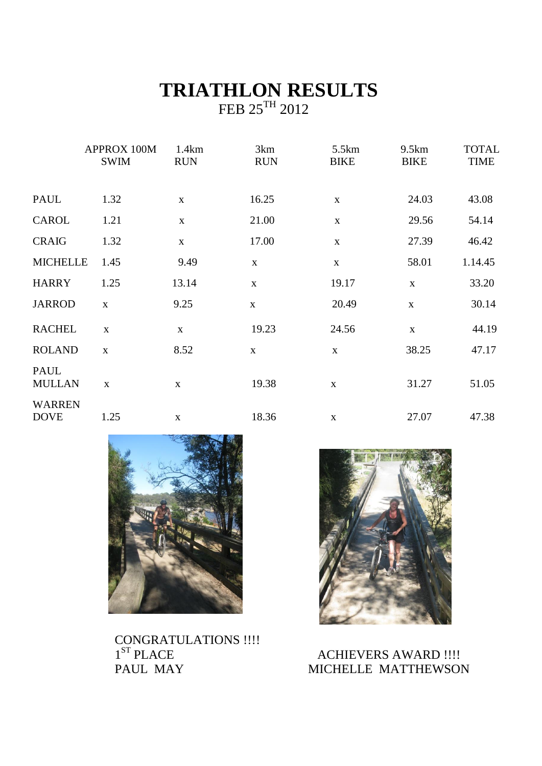#### **TRIATHLON RESULTS** FEB  $25^{\text{TH}}$  2012

|                              | APPROX 100M<br><b>SWIM</b> | 1.4km<br><b>RUN</b> | 3km<br><b>RUN</b> | 5.5km<br><b>BIKE</b> | 9.5km<br><b>BIKE</b> | <b>TOTAL</b><br><b>TIME</b> |
|------------------------------|----------------------------|---------------------|-------------------|----------------------|----------------------|-----------------------------|
| PAUL                         | 1.32                       | $\mathbf X$         | 16.25             | $\mathbf X$          | 24.03                | 43.08                       |
| <b>CAROL</b>                 | 1.21                       | $\mathbf X$         | 21.00             | $\mathbf X$          | 29.56                | 54.14                       |
| <b>CRAIG</b>                 | 1.32                       | $\mathbf X$         | 17.00             | $\mathbf{X}$         | 27.39                | 46.42                       |
| <b>MICHELLE</b>              | 1.45                       | 9.49                | $\mathbf X$       | $\mathbf X$          | 58.01                | 1.14.45                     |
| <b>HARRY</b>                 | 1.25                       | 13.14               | $\mathbf X$       | 19.17                | $\mathbf X$          | 33.20                       |
| <b>JARROD</b>                | $\mathbf X$                | 9.25                | $\mathbf X$       | 20.49                | $\mathbf X$          | 30.14                       |
| <b>RACHEL</b>                | $\mathbf X$                | $\mathbf X$         | 19.23             | 24.56                | $\mathbf X$          | 44.19                       |
| <b>ROLAND</b>                | $\mathbf{X}$               | 8.52                | $\mathbf X$       | $\mathbf X$          | 38.25                | 47.17                       |
| PAUL<br><b>MULLAN</b>        | $\mathbf X$                | $\mathbf X$         | 19.38             | $\mathbf X$          | 31.27                | 51.05                       |
| <b>WARREN</b><br><b>DOVE</b> | 1.25                       | $\mathbf X$         | 18.36             | $\mathbf X$          | 27.07                | 47.38                       |



CONGRATULATIONS !!!! 1<sup>ST</sup> PLACE ACHIEVERS AWARD !!!!



# PAUL MAY MICHELLE MATTHEWSON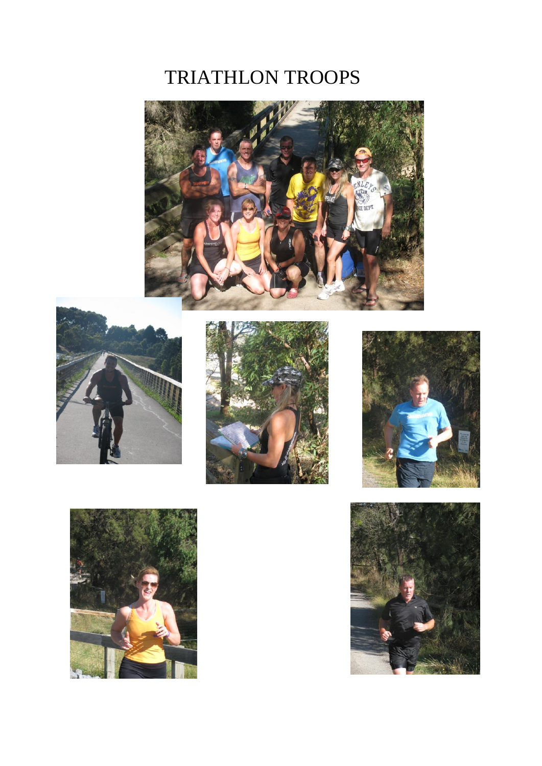## TRIATHLON TROOPS











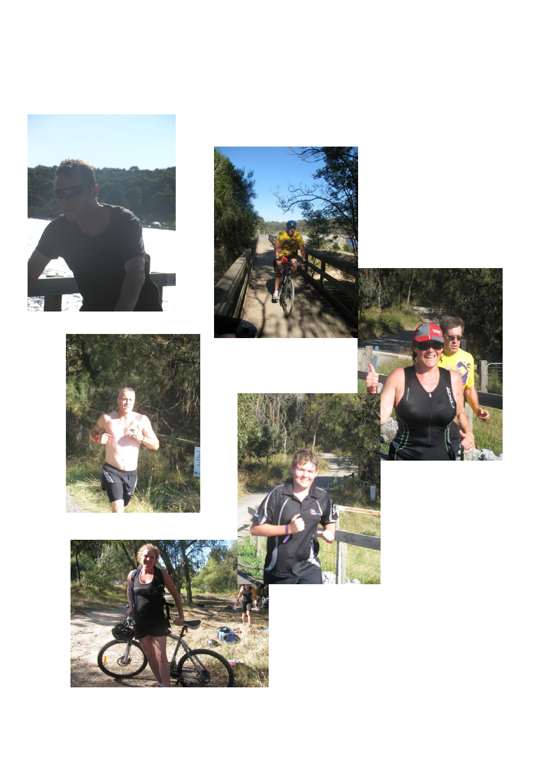